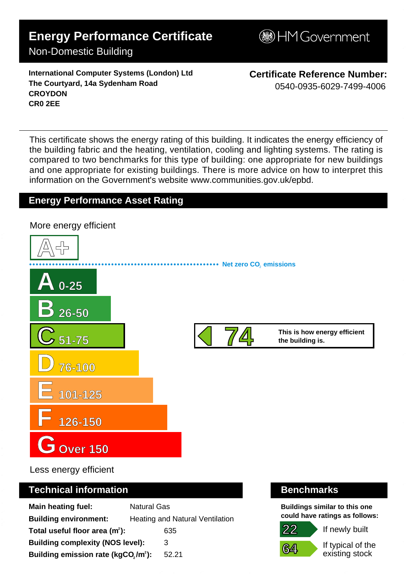## **Energy Performance Certificate**

## Non-Domestic Building

**International Computer Systems (London) Ltd The Courtyard, 14a Sydenham Road CROYDON CR0 2EE**

**Certificate Reference Number:** 0540-0935-6029-7499-4006

This certificate shows the energy rating of this building. It indicates the energy efficiency of the building fabric and the heating, ventilation, cooling and lighting systems. The rating is compared to two benchmarks for this type of building: one appropriate for new buildings and one appropriate for existing buildings. There is more advice on how to interpret this information on the Government's websit[e www.communities.gov.uk/epbd.](http://www.communities.gov.uk/epbd)

### **Energy Performance Asset Rating**



Less energy efficient

### **Technical information Benchmarks**

| <b>Main heating fuel:</b>                       | <b>Natural Gas</b> |                                        |
|-------------------------------------------------|--------------------|----------------------------------------|
| <b>Building environment:</b>                    |                    | <b>Heating and Natural Ventilation</b> |
| Total useful floor area $(m2)$ :                |                    | 635                                    |
| <b>Building complexity (NOS level):</b>         |                    | 3                                      |
| Building emission rate (kgCO,/m <sup>2</sup> ): |                    | 52.21                                  |

**Buildings similar to this one could have ratings as follows:**



If newly built

If typical of the existing stock

# **B**HM Government